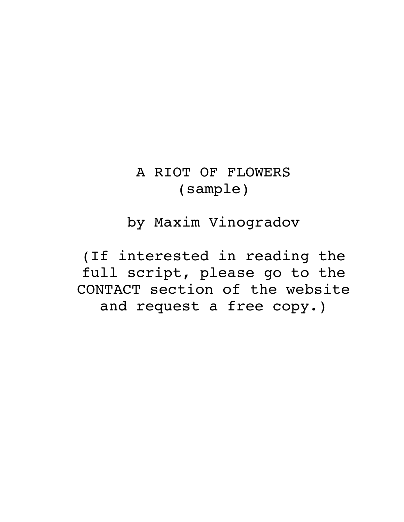# A RIOT OF FLOWERS (sample)

by Maxim Vinogradov

(If interested in reading the full script, please go to the CONTACT section of the website and request a free copy.)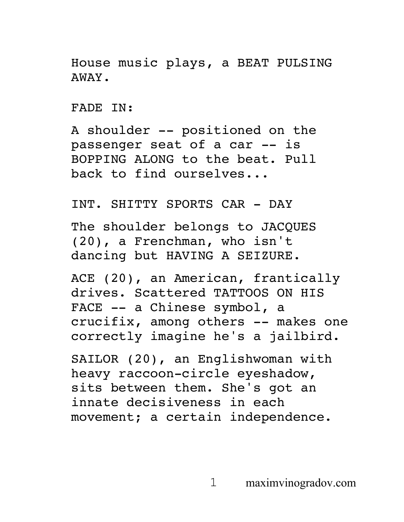House music plays, a BEAT PULSING AWAY.

FADE IN:

A shoulder -- positioned on the passenger seat of a car -- is BOPPING ALONG to the beat. Pull back to find ourselves...

INT. SHITTY SPORTS CAR - DAY

The shoulder belongs to JACQUES (20), a Frenchman, who isn't dancing but HAVING A SEIZURE.

ACE (20), an American, frantically drives. Scattered TATTOOS ON HIS FACE -- a Chinese symbol, a crucifix, among others -- makes one correctly imagine he's a jailbird.

SAILOR (20), an Englishwoman with heavy raccoon-circle eyeshadow, sits between them. She's got an innate decisiveness in each movement; a certain independence.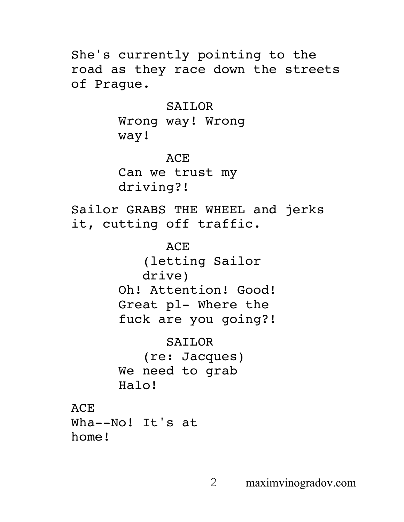She's currently pointing to the road as they race down the streets of Prague.

SAILOR

Wrong way! Wrong way!

ACE Can we trust my driving?!

Sailor GRABS THE WHEEL and jerks it, cutting off traffic.

> ACE (letting Sailor drive) Oh! Attention! Good! Great pl- Where the fuck are you going?!

SAILOR (re: Jacques) We need to grab Halo!

ACE

Wha--No! It's at home!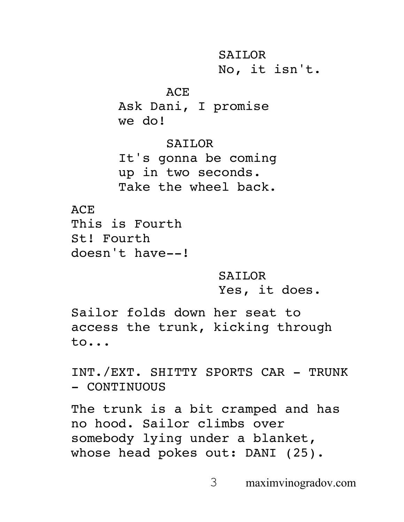SAILOR No, it isn't.

ACE

Ask Dani, I promise we do!

SAILOR

It's gonna be coming up in two seconds. Take the wheel back.

ACE

This is Fourth St! Fourth doesn't have--!

> SAILOR Yes, it does.

Sailor folds down her seat to access the trunk, kicking through to...

INT./EXT. SHITTY SPORTS CAR - TRUNK - CONTINUOUS

The trunk is a bit cramped and has no hood. Sailor climbs over somebody lying under a blanket, whose head pokes out: DANI (25).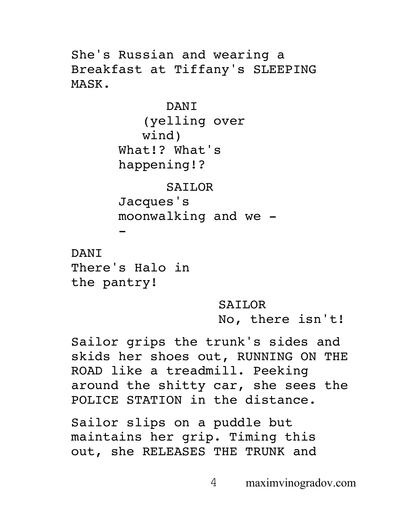She's Russian and wearing a Breakfast at Tiffany's SLEEPING MASK.

> DANI (yelling over wind) What!? What's happening!?

SAILOR Jacques's moonwalking and we -

DANI There's Halo in the pantry!

-

SAILOR No, there isn't!

Sailor grips the trunk's sides and skids her shoes out, RUNNING ON THE ROAD like a treadmill. Peeking around the shitty car, she sees the POLICE STATION in the distance.

Sailor slips on a puddle but maintains her grip. Timing this out, she RELEASES THE TRUNK and

4 maximvinogradov.com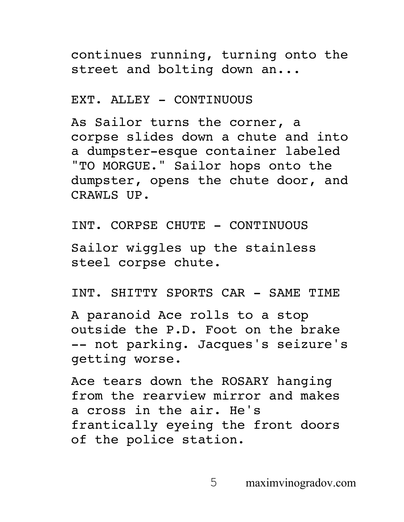continues running, turning onto the street and bolting down an...

### EXT. ALLEY - CONTINUOUS

As Sailor turns the corner, a corpse slides down a chute and into a dumpster-esque container labeled "TO MORGUE." Sailor hops onto the dumpster, opens the chute door, and CRAWLS UP.

INT. CORPSE CHUTE - CONTINUOUS

Sailor wiggles up the stainless steel corpse chute.

INT. SHITTY SPORTS CAR - SAME TIME

A paranoid Ace rolls to a stop outside the P.D. Foot on the brake -- not parking. Jacques's seizure's getting worse.

Ace tears down the ROSARY hanging from the rearview mirror and makes a cross in the air. He's frantically eyeing the front doors of the police station.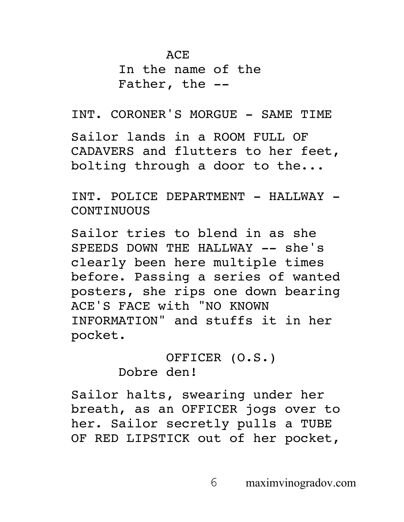In the name of the Father, the --

INT. CORONER'S MORGUE - SAME TIME Sailor lands in a ROOM FULL OF CADAVERS and flutters to her feet, bolting through a door to the...

INT. POLICE DEPARTMENT - HALLWAY -**CONTINUOUS** 

Sailor tries to blend in as she SPEEDS DOWN THE HALLWAY -- she's clearly been here multiple times before. Passing a series of wanted posters, she rips one down bearing ACE'S FACE with "NO KNOWN INFORMATION" and stuffs it in her pocket.

> OFFICER (O.S.) Dobre den!

Sailor halts, swearing under her breath, as an OFFICER jogs over to her. Sailor secretly pulls a TUBE OF RED LIPSTICK out of her pocket,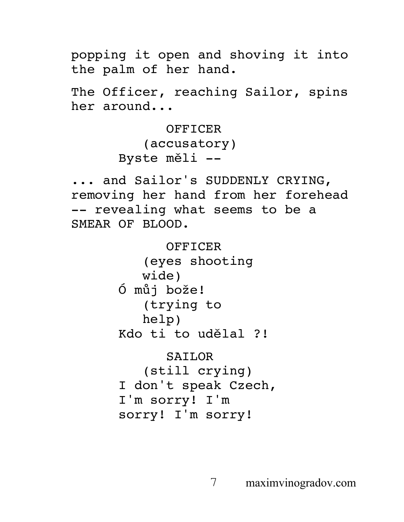popping it open and shoving it into the palm of her hand.

The Officer, reaching Sailor, spins her around...

> OFFICER (accusatory) Byste měli --

... and Sailor's SUDDENLY CRYING, removing her hand from her forehead -- revealing what seems to be a SMEAR OF BLOOD.

> OFFICER (eyes shooting wide) Ó můj bože! (trying to help) Kdo ti to udělal ?! SAILOR (still crying) I don't speak Czech, I'm sorry! I'm sorry! I'm sorry!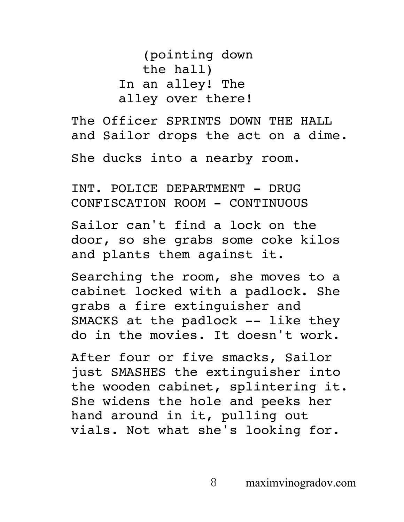(pointing down the hall) In an alley! The alley over there!

The Officer SPRINTS DOWN THE HALL and Sailor drops the act on a dime.

She ducks into a nearby room.

INT. POLICE DEPARTMENT - DRUG CONFISCATION ROOM - CONTINUOUS

Sailor can't find a lock on the door, so she grabs some coke kilos and plants them against it.

Searching the room, she moves to a cabinet locked with a padlock. She grabs a fire extinguisher and SMACKS at the padlock -- like they do in the movies. It doesn't work.

After four or five smacks, Sailor just SMASHES the extinguisher into the wooden cabinet, splintering it. She widens the hole and peeks her hand around in it, pulling out vials. Not what she's looking for.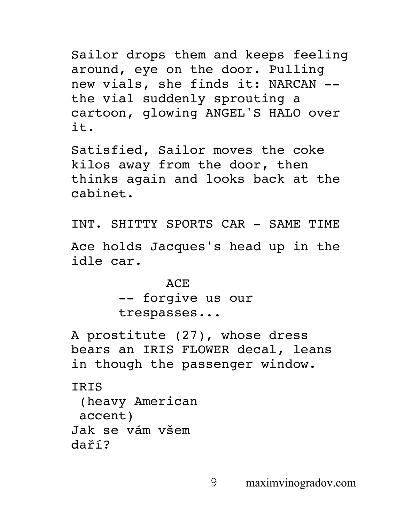Sailor drops them and keeps feeling around, eye on the door. Pulling new vials, she finds it: NARCAN - the vial suddenly sprouting a cartoon, glowing ANGEL'S HALO over it.

Satisfied, Sailor moves the coke kilos away from the door, then thinks again and looks back at the cabinet.

INT. SHITTY SPORTS CAR - SAME TIME

Ace holds Jacques's head up in the idle car.

> ACE -- forgive us our trespasses...

A prostitute (27), whose dress bears an IRIS FLOWER decal, leans in though the passenger window.

**TRTS** (heavy American accent) Jak se vám všem daří?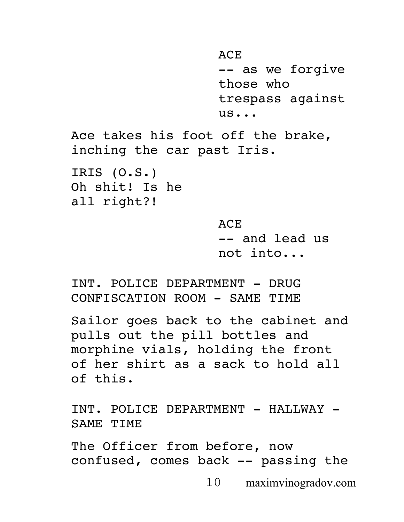```
ACE
                    -- as we forgive 
                    those who 
                    trespass against 
                    us...
Ace takes his foot off the brake, 
inching the car past Iris. 
IRIS (O.S.)
Oh shit! Is he 
all right?!
                    ACE
                    -- and lead us 
                    not into...
```
INT. POLICE DEPARTMENT - DRUG CONFISCATION ROOM - SAME TIME

Sailor goes back to the cabinet and pulls out the pill bottles and morphine vials, holding the front of her shirt as a sack to hold all of this.

INT. POLICE DEPARTMENT - HALLWAY -SAME TIME

The Officer from before, now confused, comes back -- passing the

10 maximvinogradov.com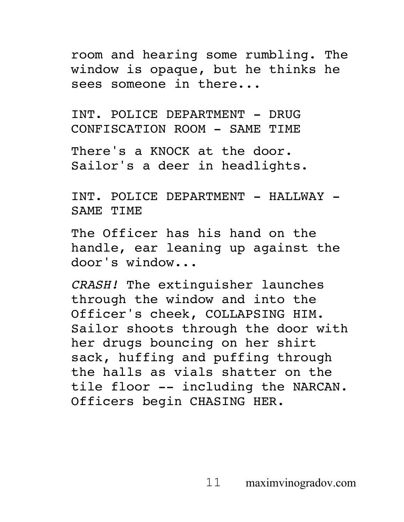room and hearing some rumbling. The window is opaque, but he thinks he sees someone in there...

INT. POLICE DEPARTMENT - DRUG CONFISCATION ROOM - SAME TIME

There's a KNOCK at the door. Sailor's a deer in headlights.

INT. POLICE DEPARTMENT - HALLWAY -SAME TIME

The Officer has his hand on the handle, ear leaning up against the door's window...

*CRASH!* The extinguisher launches through the window and into the Officer's cheek, COLLAPSING HIM. Sailor shoots through the door with her drugs bouncing on her shirt sack, huffing and puffing through the halls as vials shatter on the tile floor -- including the NARCAN. Officers begin CHASING HER.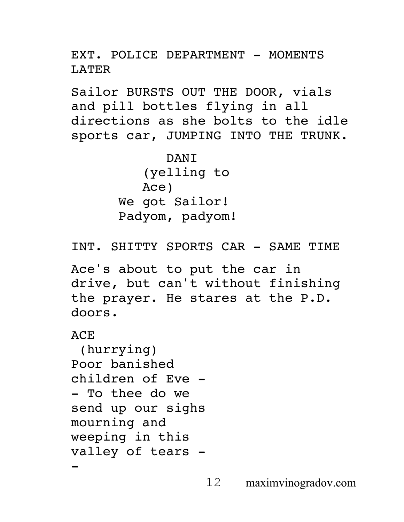EXT. POLICE DEPARTMENT - MOMENTS LATER

Sailor BURSTS OUT THE DOOR, vials and pill bottles flying in all directions as she bolts to the idle sports car, JUMPING INTO THE TRUNK.

> DANI (yelling to Ace) We got Sailor! Padyom, padyom!

INT. SHITTY SPORTS CAR - SAME TIME

Ace's about to put the car in drive, but can't without finishing the prayer. He stares at the P.D. doors.

**ACE** 

(hurrying) Poor banished children of Eve - - To thee do we send up our sighs mourning and weeping in this valley of tears --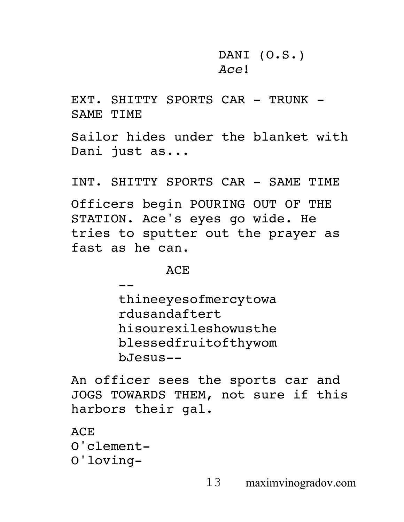DANI (O.S.) *Ace*!

EXT. SHITTY SPORTS CAR - TRUNK -SAME TIME

Sailor hides under the blanket with Dani just as...

INT. SHITTY SPORTS CAR - SAME TIME

Officers begin POURING OUT OF THE STATION. Ace's eyes go wide. He tries to sputter out the prayer as fast as he can.

**ACE** 

- thineeyesofmercytowa rdusandaftert hisourexileshowusthe blessedfruitofthywom bJesus--

An officer sees the sports car and JOGS TOWARDS THEM, not sure if this harbors their gal.

ACE O'clement-O'loving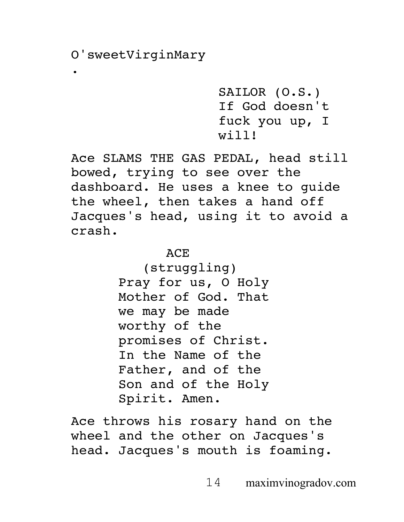.

SAILOR (O.S.) If God doesn't fuck you up, I will!

Ace SLAMS THE GAS PEDAL, head still bowed, trying to see over the dashboard. He uses a knee to guide the wheel, then takes a hand off Jacques's head, using it to avoid a crash.

ACE

(struggling) Pray for us, O Holy Mother of God. That we may be made worthy of the promises of Christ. In the Name of the Father, and of the Son and of the Holy Spirit. Amen.

Ace throws his rosary hand on the wheel and the other on Jacques's head. Jacques's mouth is foaming.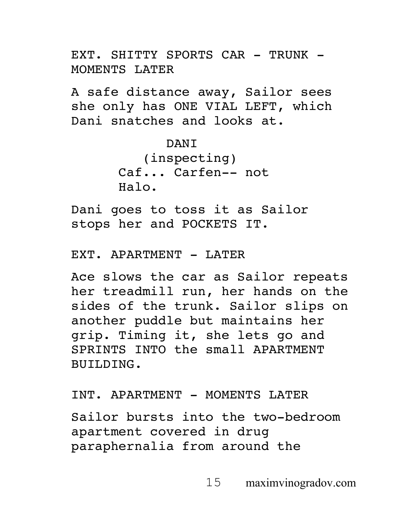EXT. SHITTY SPORTS CAR - TRUNK -MOMENTS LATER

A safe distance away, Sailor sees she only has ONE VIAL LEFT, which Dani snatches and looks at.

> **DANT** (inspecting) Caf... Carfen-- not Halo.

Dani goes to toss it as Sailor stops her and POCKETS IT.

EXT. APARTMENT - LATER

Ace slows the car as Sailor repeats her treadmill run, her hands on the sides of the trunk. Sailor slips on another puddle but maintains her grip. Timing it, she lets go and SPRINTS INTO the small APARTMENT BUILDING.

INT. APARTMENT - MOMENTS LATER

Sailor bursts into the two-bedroom apartment covered in drug paraphernalia from around the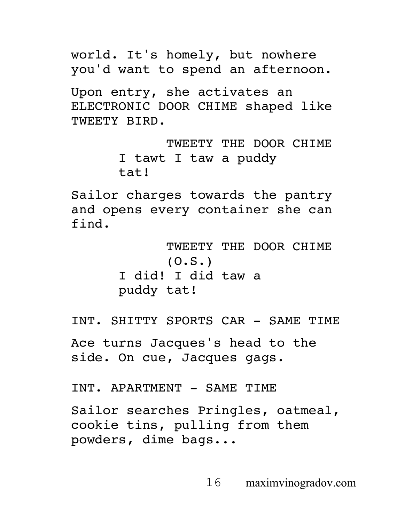world. It's homely, but nowhere you'd want to spend an afternoon.

Upon entry, she activates an ELECTRONIC DOOR CHIME shaped like TWEETY BIRD.

> TWEETY THE DOOR CHIME I tawt I taw a puddy tat!

Sailor charges towards the pantry and opens every container she can find.

> TWEETY THE DOOR CHIME (O.S.) I did! I did taw a puddy tat!

INT. SHITTY SPORTS CAR - SAME TIME

Ace turns Jacques's head to the side. On cue, Jacques gags.

INT. APARTMENT - SAME TIME

Sailor searches Pringles, oatmeal, cookie tins, pulling from them powders, dime bags...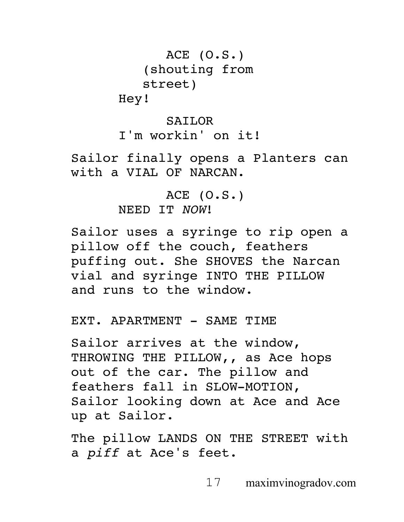ACE (O.S.) (shouting from street) Hey!

#### SAILOR

I'm workin' on it!

Sailor finally opens a Planters can with a VIAL OF NARCAN.

> ACE (O.S.) NEED IT *NOW*!

Sailor uses a syringe to rip open a pillow off the couch, feathers puffing out. She SHOVES the Narcan vial and syringe INTO THE PILLOW and runs to the window.

EXT. APARTMENT - SAME TIME

Sailor arrives at the window, THROWING THE PILLOW,, as Ace hops out of the car. The pillow and feathers fall in SLOW-MOTION, Sailor looking down at Ace and Ace up at Sailor.

The pillow LANDS ON THE STREET with a *piff* at Ace's feet.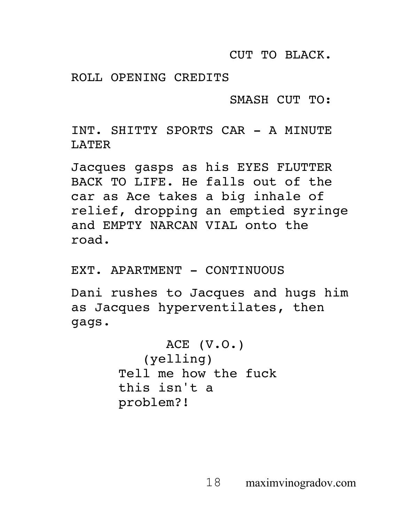CUT TO BLACK.

ROLL OPENING CREDITS

SMASH CUT TO:

INT. SHITTY SPORTS CAR - A MINUTE LATER

Jacques gasps as his EYES FLUTTER BACK TO LIFE. He falls out of the car as Ace takes a big inhale of relief, dropping an emptied syringe and EMPTY NARCAN VIAL onto the road.

EXT. APARTMENT - CONTINUOUS

Dani rushes to Jacques and hugs him as Jacques hyperventilates, then gags.

```
ACE (V.O.)
   (yelling)
Tell me how the fuck 
this isn't a 
problem?!
```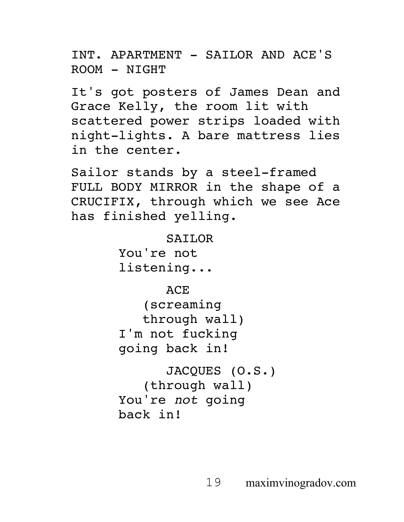INT. APARTMENT - SAILOR AND ACE'S ROOM - NIGHT

It's got posters of James Dean and Grace Kelly, the room lit with scattered power strips loaded with night-lights. A bare mattress lies in the center.

Sailor stands by a steel-framed FULL BODY MIRROR in the shape of a CRUCIFIX, through which we see Ace has finished yelling.

> SAILOR You're not listening...

ACE (screaming through wall) I'm not fucking going back in!

JACQUES (O.S.) (through wall) You're *not* going back in!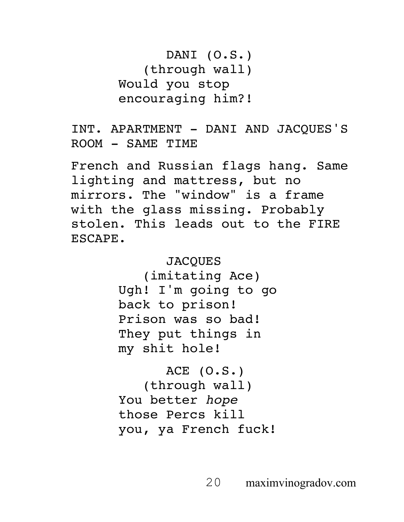DANI (O.S.) (through wall) Would you stop encouraging him?!

INT. APARTMENT - DANI AND JACQUES'S ROOM - SAME TIME

French and Russian flags hang. Same lighting and mattress, but no mirrors. The "window" is a frame with the glass missing. Probably stolen. This leads out to the FIRE ESCAPE.

> **JACOUES** (imitating Ace) Ugh! I'm going to go back to prison! Prison was so bad! They put things in my shit hole!

ACE (O.S.) (through wall) You better *hope* those Percs kill you, ya French fuck!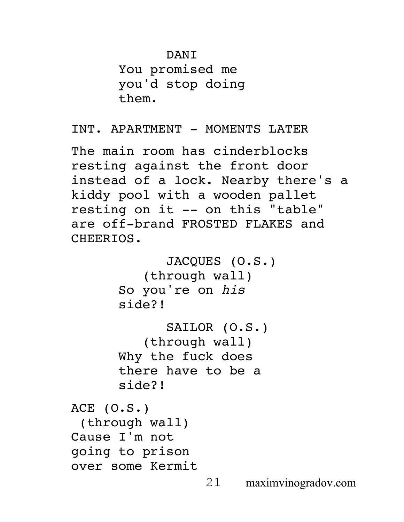## DANI

You promised me you'd stop doing them.

INT. APARTMENT - MOMENTS LATER

The main room has cinderblocks resting against the front door instead of a lock. Nearby there's a kiddy pool with a wooden pallet resting on it -- on this "table" are off-brand FROSTED FLAKES and CHEERIOS.

```
JACQUES (O.S.)
          (through wall)
      So you're on his 
      side?!
             SAILOR (O.S.)
          (through wall)
      Why the fuck does 
      there have to be a 
      side?!
ACE (O.S.)
 (through wall)
Cause I'm not 
going to prison 
over some Kermit
```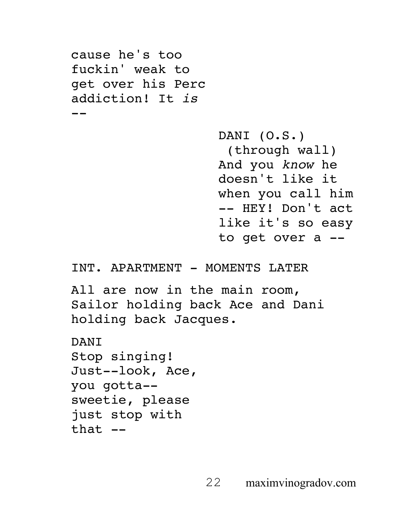```
cause he's too 
fuckin' weak to 
get over his Perc 
addiction! It is
--
                    DANI (O.S.)
                     (through wall)
                    And you know he 
                    doesn't like it 
                    when you call him 
                    -- HEY! Don't act 
                    like it's so easy 
                    to get over a --
INT. APARTMENT - MOMENTS LATER
All are now in the main room, 
Sailor holding back Ace and Dani 
holding back Jacques.
DANT
Stop singing! 
Just--look, Ace, 
you gotta--
sweetie, please 
just stop with 
that --
```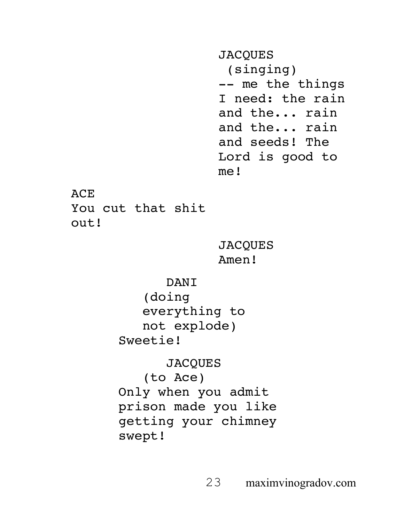**JACQUES** (singing) -- me the things I need: the rain and the... rain and the... rain and seeds! The Lord is good to me! **ACE** You cut that shit out! **JACQUES** Amen! DANI (doing everything to not explode) Sweetie! **JACQUES** (to Ace) Only when you admit

prison made you like getting your chimney swept!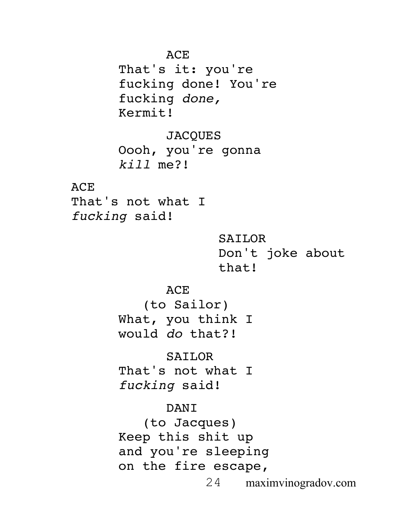ACE

That's it: you're fucking done! You're fucking *done,*  Kermit!

**JACQUES** Oooh, you're gonna *kill* me?!

ACE

That's not what I *fucking* said!

> SAILOR Don't joke about that!

ACE (to Sailor) What, you think I would *do* that?!

SAILOR That's not what I *fucking* said!

DANI (to Jacques) Keep this shit up and you're sleeping on the fire escape,

24 maximvinogradov.com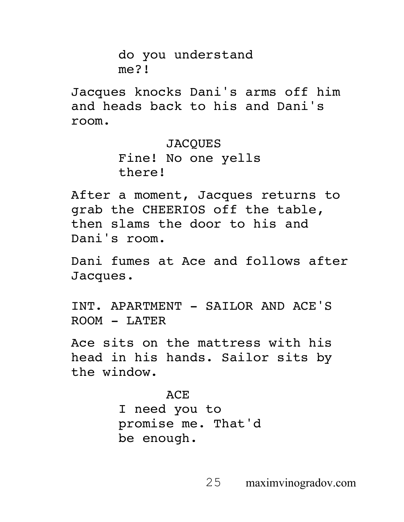do you understand me?!

Jacques knocks Dani's arms off him and heads back to his and Dani's room.

> JACQUES Fine! No one yells there!

After a moment, Jacques returns to grab the CHEERIOS off the table, then slams the door to his and Dani's room.

Dani fumes at Ace and follows after Jacques.

INT. APARTMENT - SAILOR AND ACE'S ROOM - LATER

Ace sits on the mattress with his head in his hands. Sailor sits by the window.

# ACE

I need you to promise me. That'd be enough.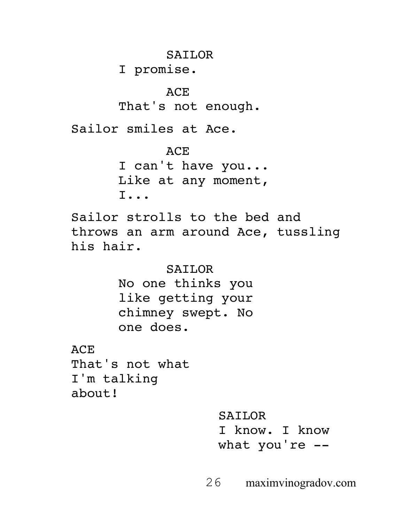SAILOR

I promise.

### ACE

That's not enough.

Sailor smiles at Ace.

ACE I can't have you... Like at any moment, I...

Sailor strolls to the bed and throws an arm around Ace, tussling his hair.

> SAILOR No one thinks you like getting your chimney swept. No one does.

ACE That's not what I'm talking about!

> SAILOR I know. I know what you're --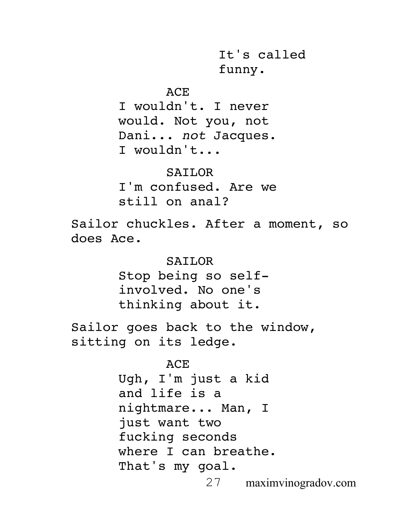It's called funny.

ACE

I wouldn't. I never would. Not you, not Dani... *not* Jacques. I wouldn't...

SAILOR I'm confused. Are we still on anal?

Sailor chuckles. After a moment, so does Ace.

> SAILOR Stop being so selfinvolved. No one's thinking about it.

Sailor goes back to the window, sitting on its ledge.

ACE

Ugh, I'm just a kid and life is a nightmare... Man, I just want two fucking seconds where I can breathe. That's my goal.

27 maximvinogradov.com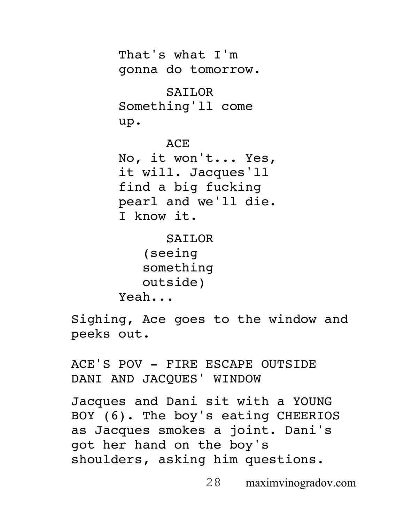That's what I'm gonna do tomorrow. SAILOR Something'll come up. ACE No, it won't... Yes, it will. Jacques'll find a big fucking pearl and we'll die. I know it. SAILOR (seeing something outside)

Yeah...

Sighing, Ace goes to the window and peeks out.

ACE'S POV - FIRE ESCAPE OUTSIDE DANI AND JACQUES' WINDOW

Jacques and Dani sit with a YOUNG BOY (6). The boy's eating CHEERIOS as Jacques smokes a joint. Dani's got her hand on the boy's shoulders, asking him questions.